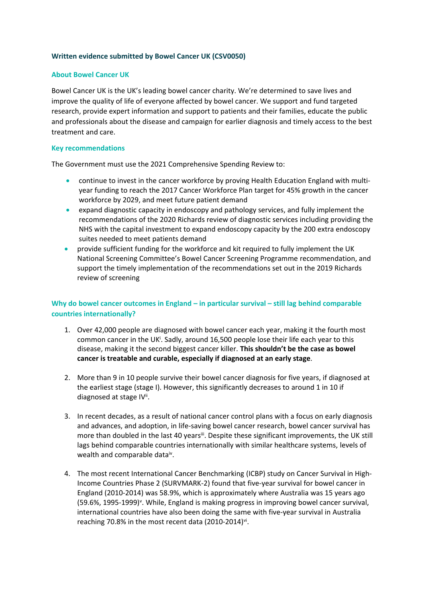## **Written evidence submitted by Bowel Cancer UK (CSV0050)**

### **About Bowel Cancer UK**

Bowel Cancer UK is the UK's leading bowel cancer charity. We're determined to save lives and improve the quality of life of everyone affected by bowel cancer. We support and fund targeted research, provide expert information and support to patients and their families, educate the public and professionals about the disease and campaign for earlier diagnosis and timely access to the best treatment and care.

#### **Key recommendations**

The Government must use the 2021 Comprehensive Spending Review to:

- continue to invest in the cancer workforce by proving Health Education England with multiyear funding to reach the 2017 Cancer Workforce Plan target for 45% growth in the cancer workforce by 2029, and meet future patient demand
- expand diagnostic capacity in endoscopy and pathology services, and fully implement the recommendations of the 2020 Richards review of diagnostic services including providing the NHS with the capital investment to expand endoscopy capacity by the 200 extra endoscopy suites needed to meet patients demand
- provide sufficient funding for the workforce and kit required to fully implement the UK National Screening Committee's Bowel Cancer Screening Programme recommendation, and support the timely implementation of the recommendations set out in the 2019 Richards review of screening

# **Why do bowel cancer outcomes in England – in particular survival – still lag behind comparable countries internationally?**

- 1. Over 42,000 people are diagnosed with bowel cancer each year, making it the fourth most common cancer in the UK<sup>i</sup>. Sadly, around 16,500 people lose their life each year to this disease, making it the second biggest cancer killer. **This shouldn't be the case as bowel cancer is treatable and curable, especially if diagnosed at an early stage**.
- 2. More than 9 in 10 people survive their bowel cancer diagnosis for five years, if diagnosed at the earliest stage (stage I). However, this significantly decreases to around 1 in 10 if diagnosed at stage IV".
- 3. In recent decades, as a result of national cancer control plans with a focus on early diagnosis and advances, and adoption, in life-saving bowel cancer research, bowel cancer survival has more than doubled in the last 40 yearsii. Despite these significant improvements, the UK still lags behind comparable countries internationally with similar healthcare systems, levels of wealth and comparable dataiv.
- 4. The most recent International Cancer Benchmarking (ICBP) study on Cancer Survival in High-Income Countries Phase 2 (SURVMARK-2) found that five-year survival for bowel cancer in England (2010-2014) was 58.9%, which is approximately where Australia was 15 years ago (59.6%, 1995-1999)<sup>v</sup>. While, England is making progress in improving bowel cancer survival, international countries have also been doing the same with five-year survival in Australia reaching 70.8% in the most recent data (2010-2014)<sup>vi</sup>.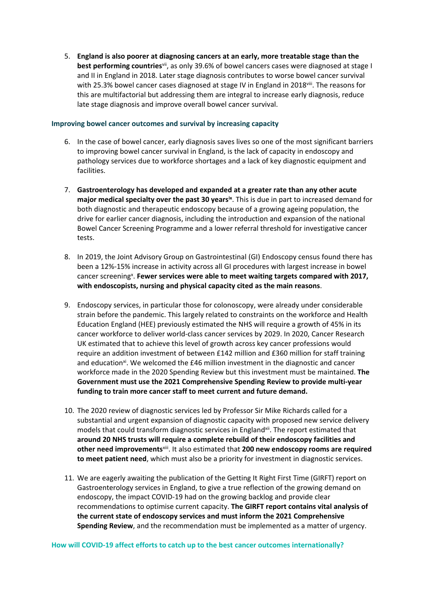5. **England is also poorer at diagnosing cancers at an early, more treatable stage than the best performing countries**vii , as only 39.6% of bowel cancers cases were diagnosed at stage I and II in England in 2018. Later stage diagnosis contributes to worse bowel cancer survival with 25.3% bowel cancer cases diagnosed at stage IV in England in 2018viii. The reasons for this are multifactorial but addressing them are integral to increase early diagnosis, reduce late stage diagnosis and improve overall bowel cancer survival.

## **Improving bowel cancer outcomes and survival by increasing capacity**

- 6. In the case of bowel cancer, early diagnosis saves lives so one of the most significant barriers to improving bowel cancer survival in England, is the lack of capacity in endoscopy and pathology services due to workforce shortages and a lack of key diagnostic equipment and facilities.
- 7. **Gastroenterology has developed and expanded at a greater rate than any other acute major medical specialty over the past 30 yearsix** . This is due in part to increased demand for both diagnostic and therapeutic endoscopy because of a growing ageing population, the drive for earlier cancer diagnosis, including the introduction and expansion of the national Bowel Cancer Screening Programme and a lower referral threshold for investigative cancer tests.
- 8. In 2019, the Joint Advisory Group on Gastrointestinal (GI) Endoscopy census found there has been a 12%-15% increase in activity across all GI procedures with largest increase in bowel cancer screening<sup>x</sup>. Fewer services were able to meet waiting targets compared with 2017, **with endoscopists, nursing and physical capacity cited as the main reasons**.
- 9. Endoscopy services, in particular those for colonoscopy, were already under considerable strain before the pandemic. This largely related to constraints on the workforce and Health Education England (HEE) previously estimated the NHS will require a growth of 45% in its cancer workforce to deliver world-class cancer services by 2029. In 2020, Cancer Research UK estimated that to achieve this level of growth across key cancer professions would require an addition investment of between £142 million and £360 million for staff training and education<sup>xi</sup>. We welcomed the £46 million investment in the diagnostic and cancer workforce made in the 2020 Spending Review but this investment must be maintained. **The Government must use the 2021 Comprehensive Spending Review to provide multi-year funding to train more cancer staff to meet current and future demand.**
- 10. The 2020 review of diagnostic services led by Professor Sir Mike Richards called for a substantial and urgent expansion of diagnostic capacity with proposed new service delivery models that could transform diagnostic services in England<sup>xii</sup>. The report estimated that **around 20 NHS trusts will require a complete rebuild of their endoscopy facilities and other need improvements**xiii . It also estimated that **200 new endoscopy rooms are required to meet patient need**, which must also be a priority for investment in diagnostic services.
- 11. We are eagerly awaiting the publication of the Getting It Right First Time (GIRFT) report on Gastroenterology services in England, to give a true reflection of the growing demand on endoscopy, the impact COVID-19 had on the growing backlog and provide clear recommendations to optimise current capacity. **The GIRFT report contains vital analysis of the current state of endoscopy services and must inform the 2021 Comprehensive Spending Review**, and the recommendation must be implemented as a matter of urgency.

#### **How will COVID-19 affect efforts to catch up to the best cancer outcomes internationally?**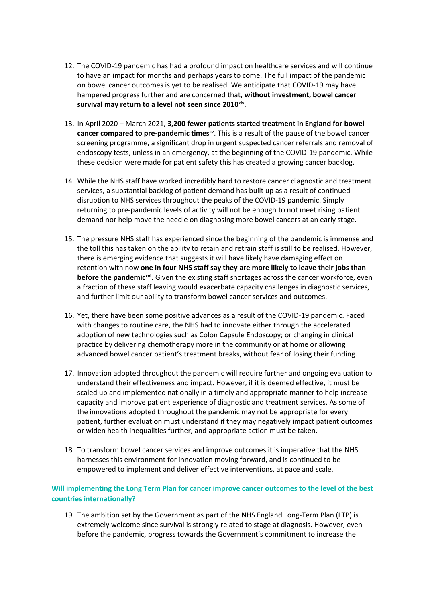- 12. The COVID-19 pandemic has had a profound impact on healthcare services and will continue to have an impact for months and perhaps years to come. The full impact of the pandemic on bowel cancer outcomes is yet to be realised. We anticipate that COVID-19 may have hampered progress further and are concerned that, **without investment, bowel cancer survival may return to a level not seen since 2010**xiv .
- 13. In April 2020 March 2021, **3,200 fewer patients started treatment in England for bowel cancer compared to pre-pandemic times**xv . This is a result of the pause of the bowel cancer screening programme, a significant drop in urgent suspected cancer referrals and removal of endoscopy tests, unless in an emergency, at the beginning of the COVID-19 pandemic. While these decision were made for patient safety this has created a growing cancer backlog.
- 14. While the NHS staff have worked incredibly hard to restore cancer diagnostic and treatment services, a substantial backlog of patient demand has built up as a result of continued disruption to NHS services throughout the peaks of the COVID-19 pandemic. Simply returning to pre-pandemic levels of activity will not be enough to not meet rising patient demand nor help move the needle on diagnosing more bowel cancers at an early stage.
- 15. The pressure NHS staff has experienced since the beginning of the pandemic is immense and the toll this has taken on the ability to retain and retrain staff is still to be realised. However, there is emerging evidence that suggests it will have likely have damaging effect on retention with now **one in four NHS staff say they are more likely to leave their jobs than before the pandemicxvi .** Given the existing staff shortages across the cancer workforce, even a fraction of these staff leaving would exacerbate capacity challenges in diagnostic services, and further limit our ability to transform bowel cancer services and outcomes.
- 16. Yet, there have been some positive advances as a result of the COVID-19 pandemic. Faced with changes to routine care, the NHS had to innovate either through the accelerated adoption of new technologies such as Colon Capsule Endoscopy; or changing in clinical practice by delivering chemotherapy more in the community or at home or allowing advanced bowel cancer patient's treatment breaks, without fear of losing their funding.
- 17. Innovation adopted throughout the pandemic will require further and ongoing evaluation to understand their effectiveness and impact. However, if it is deemed effective, it must be scaled up and implemented nationally in a timely and appropriate manner to help increase capacity and improve patient experience of diagnostic and treatment services. As some of the innovations adopted throughout the pandemic may not be appropriate for every patient, further evaluation must understand if they may negatively impact patient outcomes or widen health inequalities further, and appropriate action must be taken.
- 18. To transform bowel cancer services and improve outcomes it is imperative that the NHS harnesses this environment for innovation moving forward, and is continued to be empowered to implement and deliver effective interventions, at pace and scale.

# **Will implementing the Long Term Plan for cancer improve cancer outcomes to the level of the best countries internationally?**

19. The ambition set by the Government as part of the NHS England Long-Term Plan (LTP) is extremely welcome since survival is strongly related to stage at diagnosis. However, even before the pandemic, progress towards the Government's commitment to increase the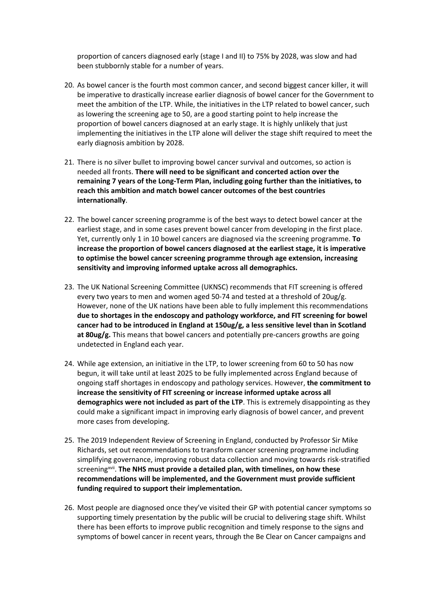proportion of cancers diagnosed early (stage I and II) to 75% by 2028, was slow and had been stubbornly stable for a number of years.

- 20. As bowel cancer is the fourth most common cancer, and second biggest cancer killer, it will be imperative to drastically increase earlier diagnosis of bowel cancer for the Government to meet the ambition of the LTP. While, the initiatives in the LTP related to bowel cancer, such as lowering the screening age to 50, are a good starting point to help increase the proportion of bowel cancers diagnosed at an early stage. It is highly unlikely that just implementing the initiatives in the LTP alone will deliver the stage shift required to meet the early diagnosis ambition by 2028.
- 21. There is no silver bullet to improving bowel cancer survival and outcomes, so action is needed all fronts. **There will need to be significant and concerted action over the remaining 7 years of the Long-Term Plan, including going further than the initiatives, to reach this ambition and match bowel cancer outcomes of the best countries internationally**.
- 22. The bowel cancer screening programme is of the best ways to detect bowel cancer at the earliest stage, and in some cases prevent bowel cancer from developing in the first place. Yet, currently only 1 in 10 bowel cancers are diagnosed via the screening programme. **To increase the proportion of bowel cancers diagnosed at the earliest stage, it is imperative to optimise the bowel cancer screening programme through age extension, increasing sensitivity and improving informed uptake across all demographics.**
- 23. The UK National Screening Committee (UKNSC) recommends that FIT screening is offered every two years to men and women aged 50-74 and tested at a threshold of 20ug/g. However, none of the UK nations have been able to fully implement this recommendations **due to shortages in the endoscopy and pathology workforce, and FIT screening for bowel cancer had to be introduced in England at 150ug/g, a less sensitive level than in Scotland at 80ug/g.** This means that bowel cancers and potentially pre-cancers growths are going undetected in England each year.
- 24. While age extension, an initiative in the LTP, to lower screening from 60 to 50 has now begun, it will take until at least 2025 to be fully implemented across England because of ongoing staff shortages in endoscopy and pathology services. However, **the commitment to increase the sensitivity of FIT screening or increase informed uptake across all demographics were not included as part of the LTP**. This is extremely disappointing as they could make a significant impact in improving early diagnosis of bowel cancer, and prevent more cases from developing.
- 25. The 2019 Independent Review of Screening in England, conducted by Professor Sir Mike Richards, set out recommendations to transform cancer screening programme including simplifying governance, improving robust data collection and moving towards risk-stratified screeningxvii . **The NHS must provide a detailed plan, with timelines, on how these recommendations will be implemented, and the Government must provide sufficient funding required to support their implementation.**
- 26. Most people are diagnosed once they've visited their GP with potential cancer symptoms so supporting timely presentation by the public will be crucial to delivering stage shift. Whilst there has been efforts to improve public recognition and timely response to the signs and symptoms of bowel cancer in recent years, through the Be Clear on Cancer campaigns and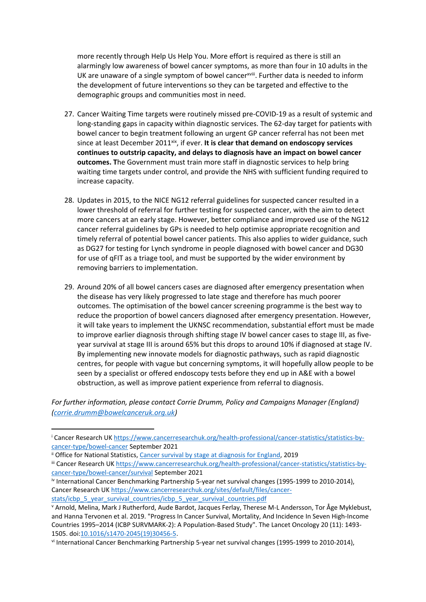more recently through Help Us Help You. More effort is required as there is still an alarmingly low awareness of bowel cancer symptoms, as more than four in 10 adults in the UK are unaware of a single symptom of bowel cancer<sup>xviii</sup>. Further data is needed to inform the development of future interventions so they can be targeted and effective to the demographic groups and communities most in need.

- 27. Cancer Waiting Time targets were routinely missed pre-COVID-19 as a result of systemic and long-standing gaps in capacity within diagnostic services. The 62-day target for patients with bowel cancer to begin treatment following an urgent GP cancer referral has not been met since at least December 2011<sup>xix</sup>, if ever. It is clear that demand on endoscopy services **continues to outstrip capacity, and delays to diagnosis have an impact on bowel cancer outcomes. T**he Government must train more staff in diagnostic services to help bring waiting time targets under control, and provide the NHS with sufficient funding required to increase capacity.
- 28. Updates in 2015, to the NICE NG12 referral guidelines for suspected cancer resulted in a lower threshold of referral for further testing for suspected cancer, with the aim to detect more cancers at an early stage. However, better compliance and improved use of the NG12 cancer referral guidelines by GPs is needed to help optimise appropriate recognition and timely referral of potential bowel cancer patients. This also applies to wider guidance, such as DG27 for testing for Lynch syndrome in people diagnosed with bowel cancer and DG30 for use of qFIT as a triage tool, and must be supported by the wider environment by removing barriers to implementation.
- 29. Around 20% of all bowel cancers cases are diagnosed after emergency presentation when the disease has very likely progressed to late stage and therefore has much poorer outcomes. The optimisation of the bowel cancer screening programme is the best way to reduce the proportion of bowel cancers diagnosed after emergency presentation. However, it will take years to implement the UKNSC recommendation, substantial effort must be made to improve earlier diagnosis through shifting stage IV bowel cancer cases to stage III, as fiveyear survival at stage III is around 65% but this drops to around 10% if diagnosed at stage IV. By implementing new innovate models for diagnostic pathways, such as rapid diagnostic centres, for people with vague but concerning symptoms, it will hopefully allow people to be seen by a specialist or offered endoscopy tests before they end up in A&E with a bowel obstruction, as well as improve patient experience from referral to diagnosis.

*For further information, please contact Corrie Drumm, Policy and Campaigns Manager (England) [\(corrie.drumm@bowelcanceruk.org.uk](mailto:corrie.drumm@bowelcanceruk.org.uk))*

<sup>i</sup> Cancer Research UK [https://www.cancerresearchuk.org/health-professional/cancer-statistics/statistics-by](https://www.cancerresearchuk.org/health-professional/cancer-statistics/statistics-by-cancer-type/bowel-cancer)[cancer-type/bowel-cancer](https://www.cancerresearchuk.org/health-professional/cancer-statistics/statistics-by-cancer-type/bowel-cancer) September 2021

ii Office for National Statistics, [Cancer](https://www.ons.gov.uk/peoplepopulationandcommunity/healthandsocialcare/conditionsanddiseases/bulletins/cancersurvivalbystageatdiagnosisforenglandexperimentalstatistics/adultsdiagnosed20122013and2014andfollowedupto2015) [survival](https://www.ons.gov.uk/peoplepopulationandcommunity/healthandsocialcare/conditionsanddiseases/bulletins/cancersurvivalbystageatdiagnosisforenglandexperimentalstatistics/adultsdiagnosed20122013and2014andfollowedupto2015) [by](https://www.ons.gov.uk/peoplepopulationandcommunity/healthandsocialcare/conditionsanddiseases/bulletins/cancersurvivalbystageatdiagnosisforenglandexperimentalstatistics/adultsdiagnosed20122013and2014andfollowedupto2015) [stage](https://www.ons.gov.uk/peoplepopulationandcommunity/healthandsocialcare/conditionsanddiseases/bulletins/cancersurvivalbystageatdiagnosisforenglandexperimentalstatistics/adultsdiagnosed20122013and2014andfollowedupto2015) [at](https://www.ons.gov.uk/peoplepopulationandcommunity/healthandsocialcare/conditionsanddiseases/bulletins/cancersurvivalbystageatdiagnosisforenglandexperimentalstatistics/adultsdiagnosed20122013and2014andfollowedupto2015) [diagnosis](https://www.ons.gov.uk/peoplepopulationandcommunity/healthandsocialcare/conditionsanddiseases/bulletins/cancersurvivalbystageatdiagnosisforenglandexperimentalstatistics/adultsdiagnosed20122013and2014andfollowedupto2015) [for](https://www.ons.gov.uk/peoplepopulationandcommunity/healthandsocialcare/conditionsanddiseases/bulletins/cancersurvivalbystageatdiagnosisforenglandexperimentalstatistics/adultsdiagnosed20122013and2014andfollowedupto2015) [England,](https://www.ons.gov.uk/peoplepopulationandcommunity/healthandsocialcare/conditionsanddiseases/bulletins/cancersurvivalbystageatdiagnosisforenglandexperimentalstatistics/adultsdiagnosed20122013and2014andfollowedupto2015) 2019

iii Cancer Research UK [https://www.cancerresearchuk.org/health-professional/cancer-statistics/statistics-by](https://www.cancerresearchuk.org/health-professional/cancer-statistics/statistics-by-cancer-type/bowel-cancer/survival)[cancer-type/bowel-cancer/survival](https://www.cancerresearchuk.org/health-professional/cancer-statistics/statistics-by-cancer-type/bowel-cancer/survival) September 2021

iv International Cancer Benchmarking Partnership 5-year net survival changes (1995-1999 to 2010-2014), Cancer Research UK [https://www.cancerresearchuk.org/sites/default/files/cancer](https://www.cancerresearchuk.org/sites/default/files/cancer-stats/icbp_5_year_survival_countries/icbp_5_year_survival_countries.pdf)[stats/icbp\\_5\\_year\\_survival\\_countries/icbp\\_5\\_year\\_survival\\_countries.pdf](https://www.cancerresearchuk.org/sites/default/files/cancer-stats/icbp_5_year_survival_countries/icbp_5_year_survival_countries.pdf)

<sup>v</sup> Arnold, Melina, Mark J Rutherford, Aude Bardot, Jacques Ferlay, Therese M-L Andersson, Tor Åge Myklebust, and Hanna Tervonen et al. 2019. "Progress In Cancer Survival, Mortality, And Incidence In Seven High-Income Countries 1995–2014 (ICBP SURVMARK-2): A Population-Based Study". The Lancet Oncology 20 (11): 1493- 1505. doi:[10.1016/s1470-2045\(19\)30456-5.](https://www.thelancet.com/journals/lanonc/article/PIIS1470-2045(19)30456-5/fulltext#supplementaryMaterial)

vi International Cancer Benchmarking Partnership 5-year net survival changes (1995-1999 to 2010-2014),